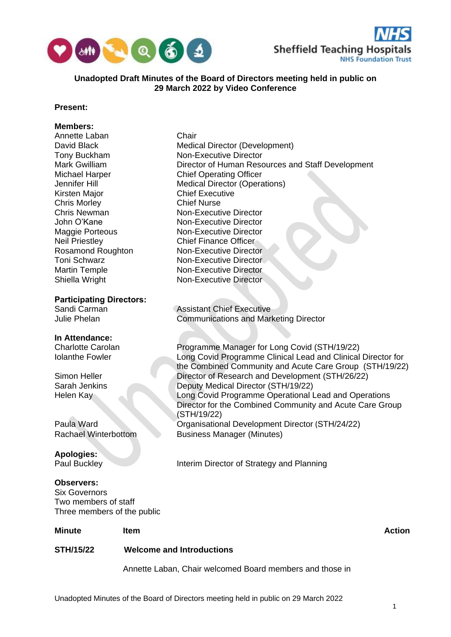



# **Unadopted Draft Minutes of the Board of Directors meeting held in public on 29 March 2022 by Video Conference**

# **Present:**

# **Members:**

|                                                                                                  | Annette Laban, Chair welcomed Board members and those in |                                                                                                                                                                                                                                                                        |               |
|--------------------------------------------------------------------------------------------------|----------------------------------------------------------|------------------------------------------------------------------------------------------------------------------------------------------------------------------------------------------------------------------------------------------------------------------------|---------------|
| <b>STH/15/22</b>                                                                                 | <b>Welcome and Introductions</b>                         |                                                                                                                                                                                                                                                                        |               |
| <b>Minute</b>                                                                                    | Item                                                     |                                                                                                                                                                                                                                                                        | <b>Action</b> |
| <b>Observers:</b><br><b>Six Governors</b><br>Two members of staff<br>Three members of the public |                                                          |                                                                                                                                                                                                                                                                        |               |
| <b>Apologies:</b><br>Paul Buckley                                                                |                                                          | Interim Director of Strategy and Planning                                                                                                                                                                                                                              |               |
| Paula Ward<br><b>Rachael Winterbottom</b>                                                        |                                                          | (STH/19/22)<br>Organisational Development Director (STH/24/22)<br><b>Business Manager (Minutes)</b>                                                                                                                                                                    |               |
| Simon Heller<br>Sarah Jenkins<br>Helen Kay                                                       |                                                          | the Combined Community and Acute Care Group (STH/19/22)<br>Director of Research and Development (STH/26/22)<br>Deputy Medical Director (STH/19/22)<br>Long Covid Programme Operational Lead and Operations<br>Director for the Combined Community and Acute Care Group |               |
| <b>Charlotte Carolan</b><br><b>Iolanthe Fowler</b>                                               |                                                          | Programme Manager for Long Covid (STH/19/22)<br>Long Covid Programme Clinical Lead and Clinical Director for                                                                                                                                                           |               |
| In Attendance:                                                                                   |                                                          |                                                                                                                                                                                                                                                                        |               |
| <b>Participating Directors:</b><br>Sandi Carman<br><b>Julie Phelan</b>                           |                                                          | <b>Assistant Chief Executive</b><br><b>Communications and Marketing Director</b>                                                                                                                                                                                       |               |
|                                                                                                  |                                                          |                                                                                                                                                                                                                                                                        |               |
| <b>Martin Temple</b><br>Shiella Wright                                                           |                                                          | Non-Executive Director<br>Non-Executive Director                                                                                                                                                                                                                       |               |
| <b>Toni Schwarz</b>                                                                              |                                                          | Non-Executive Director                                                                                                                                                                                                                                                 |               |
| <b>Neil Priestley</b><br>Rosamond Roughton                                                       |                                                          | <b>Chief Finance Officer</b><br><b>Non-Executive Director</b>                                                                                                                                                                                                          |               |
| <b>Maggie Porteous</b>                                                                           |                                                          | <b>Non-Executive Director</b>                                                                                                                                                                                                                                          |               |
| <b>Chris Newman</b><br>John O'Kane                                                               |                                                          | <b>Non-Executive Director</b><br><b>Non-Executive Director</b>                                                                                                                                                                                                         |               |
| <b>Chris Morley</b>                                                                              |                                                          | <b>Chief Nurse</b>                                                                                                                                                                                                                                                     |               |
| Kirsten Major                                                                                    |                                                          | <b>Chief Executive</b>                                                                                                                                                                                                                                                 |               |
| Michael Harper<br>Jennifer Hill                                                                  |                                                          | <b>Chief Operating Officer</b><br><b>Medical Director (Operations)</b>                                                                                                                                                                                                 |               |
| Mark Gwilliam                                                                                    |                                                          | Director of Human Resources and Staff Development                                                                                                                                                                                                                      |               |
| Tony Buckham                                                                                     |                                                          | <b>Non-Executive Director</b>                                                                                                                                                                                                                                          |               |
| Annette Laban<br>David Black                                                                     |                                                          | Chair<br><b>Medical Director (Development)</b>                                                                                                                                                                                                                         |               |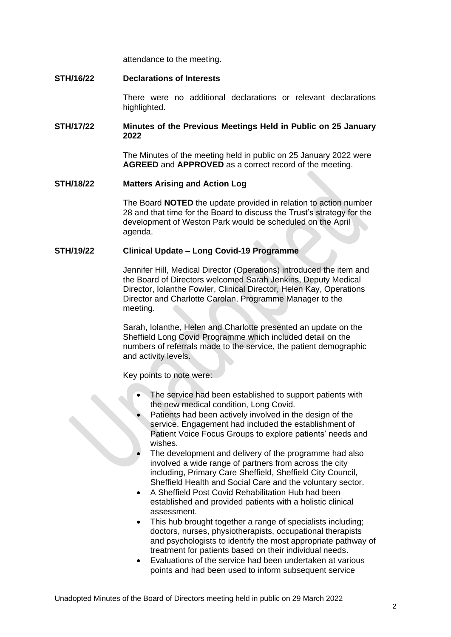attendance to the meeting.

## **STH/16/22 Declarations of Interests**

There were no additional declarations or relevant declarations highlighted.

# **STH/17/22 Minutes of the Previous Meetings Held in Public on 25 January 2022**

The Minutes of the meeting held in public on 25 January 2022 were **AGREED** and **APPROVED** as a correct record of the meeting.

#### **STH/18/22 Matters Arising and Action Log**

The Board **NOTED** the update provided in relation to action number 28 and that time for the Board to discuss the Trust's strategy for the development of Weston Park would be scheduled on the April agenda.

# **STH/19/22 Clinical Update – Long Covid-19 Programme**

Jennifer Hill, Medical Director (Operations) introduced the item and the Board of Directors welcomed Sarah Jenkins, Deputy Medical Director, Iolanthe Fowler, Clinical Director, Helen Kay, Operations Director and Charlotte Carolan, Programme Manager to the meeting.

Sarah, Iolanthe, Helen and Charlotte presented an update on the Sheffield Long Covid Programme which included detail on the numbers of referrals made to the service, the patient demographic and activity levels.

Key points to note were:

- The service had been established to support patients with the new medical condition, Long Covid.
- Patients had been actively involved in the design of the service. Engagement had included the establishment of Patient Voice Focus Groups to explore patients' needs and wishes.
- The development and delivery of the programme had also involved a wide range of partners from across the city including, Primary Care Sheffield, Sheffield City Council, Sheffield Health and Social Care and the voluntary sector.
- A Sheffield Post Covid Rehabilitation Hub had been established and provided patients with a holistic clinical assessment.
- This hub brought together a range of specialists including; doctors, nurses, physiotherapists, occupational therapists and psychologists to identify the most appropriate pathway of treatment for patients based on their individual needs.
- Evaluations of the service had been undertaken at various points and had been used to inform subsequent service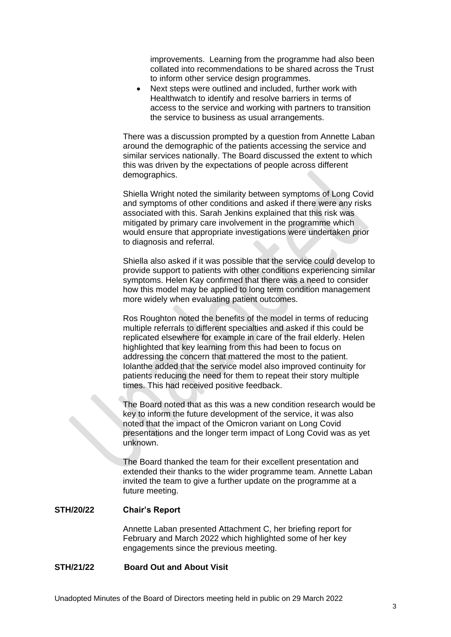improvements. Learning from the programme had also been collated into recommendations to be shared across the Trust to inform other service design programmes.

• Next steps were outlined and included, further work with Healthwatch to identify and resolve barriers in terms of access to the service and working with partners to transition the service to business as usual arrangements.

There was a discussion prompted by a question from Annette Laban around the demographic of the patients accessing the service and similar services nationally. The Board discussed the extent to which this was driven by the expectations of people across different demographics.

Shiella Wright noted the similarity between symptoms of Long Covid and symptoms of other conditions and asked if there were any risks associated with this. Sarah Jenkins explained that this risk was mitigated by primary care involvement in the programme which would ensure that appropriate investigations were undertaken prior to diagnosis and referral.

Shiella also asked if it was possible that the service could develop to provide support to patients with other conditions experiencing similar symptoms. Helen Kay confirmed that there was a need to consider how this model may be applied to long term condition management more widely when evaluating patient outcomes.

Ros Roughton noted the benefits of the model in terms of reducing multiple referrals to different specialties and asked if this could be replicated elsewhere for example in care of the frail elderly. Helen highlighted that key learning from this had been to focus on addressing the concern that mattered the most to the patient. Iolanthe added that the service model also improved continuity for patients reducing the need for them to repeat their story multiple times. This had received positive feedback.

The Board noted that as this was a new condition research would be key to inform the future development of the service, it was also noted that the impact of the Omicron variant on Long Covid presentations and the longer term impact of Long Covid was as yet unknown.

The Board thanked the team for their excellent presentation and extended their thanks to the wider programme team. Annette Laban invited the team to give a further update on the programme at a future meeting.

# **STH/20/22 Chair's Report**

Annette Laban presented Attachment C, her briefing report for February and March 2022 which highlighted some of her key engagements since the previous meeting.

#### **STH/21/22 Board Out and About Visit**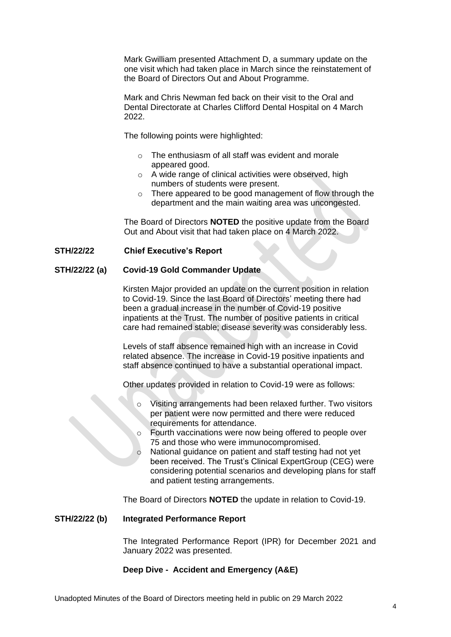Mark Gwilliam presented Attachment D, a summary update on the one visit which had taken place in March since the reinstatement of the Board of Directors Out and About Programme.

Mark and Chris Newman fed back on their visit to the Oral and Dental Directorate at Charles Clifford Dental Hospital on 4 March 2022.

The following points were highlighted:

- $\circ$  The enthusiasm of all staff was evident and morale appeared good.
- o A wide range of clinical activities were observed, high numbers of students were present.
- o There appeared to be good management of flow through the department and the main waiting area was uncongested.

The Board of Directors **NOTED** the positive update from the Board Out and About visit that had taken place on 4 March 2022.

# **STH/22/22 Chief Executive's Report**

# **STH/22/22 (a) Covid-19 Gold Commander Update**

Kirsten Major provided an update on the current position in relation to Covid-19. Since the last Board of Directors' meeting there had been a gradual increase in the number of Covid-19 positive inpatients at the Trust. The number of positive patients in critical care had remained stable; disease severity was considerably less.

Levels of staff absence remained high with an increase in Covid related absence. The increase in Covid-19 positive inpatients and staff absence continued to have a substantial operational impact.

Other updates provided in relation to Covid-19 were as follows:

- o Visiting arrangements had been relaxed further. Two visitors per patient were now permitted and there were reduced requirements for attendance.
- o Fourth vaccinations were now being offered to people over 75 and those who were immunocompromised.
- o National guidance on patient and staff testing had not yet been received. The Trust's Clinical ExpertGroup (CEG) were considering potential scenarios and developing plans for staff and patient testing arrangements.

The Board of Directors **NOTED** the update in relation to Covid-19.

#### **STH/22/22 (b) Integrated Performance Report**

The Integrated Performance Report (IPR) for December 2021 and January 2022 was presented.

# **Deep Dive - Accident and Emergency (A&E)**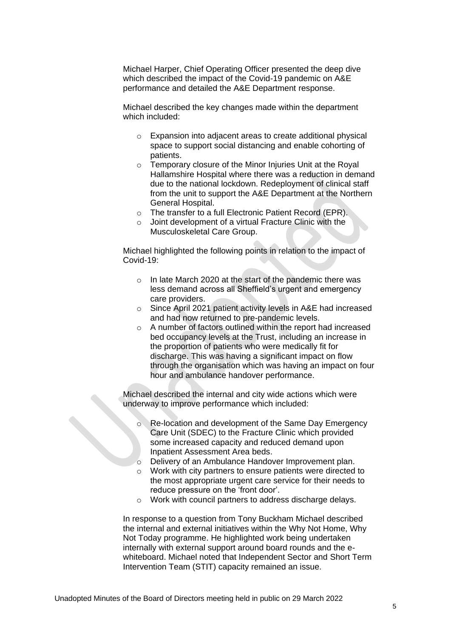Michael Harper, Chief Operating Officer presented the deep dive which described the impact of the Covid-19 pandemic on A&E performance and detailed the A&E Department response.

Michael described the key changes made within the department which included:

- o Expansion into adjacent areas to create additional physical space to support social distancing and enable cohorting of patients.
- o Temporary closure of the Minor Injuries Unit at the Royal Hallamshire Hospital where there was a reduction in demand due to the national lockdown. Redeployment of clinical staff from the unit to support the A&E Department at the Northern General Hospital.
- o The transfer to a full Electronic Patient Record (EPR).
- o Joint development of a virtual Fracture Clinic with the Musculoskeletal Care Group.

Michael highlighted the following points in relation to the impact of Covid-19:

- o In late March 2020 at the start of the pandemic there was less demand across all Sheffield's urgent and emergency care providers.
- o Since April 2021 patient activity levels in A&E had increased and had now returned to pre-pandemic levels.
- o A number of factors outlined within the report had increased bed occupancy levels at the Trust, including an increase in the proportion of patients who were medically fit for discharge. This was having a significant impact on flow through the organisation which was having an impact on four hour and ambulance handover performance.

Michael described the internal and city wide actions which were underway to improve performance which included:

- Re-location and development of the Same Day Emergency Care Unit (SDEC) to the Fracture Clinic which provided some increased capacity and reduced demand upon Inpatient Assessment Area beds.
- o Delivery of an Ambulance Handover Improvement plan.
- o Work with city partners to ensure patients were directed to the most appropriate urgent care service for their needs to reduce pressure on the 'front door'.
- o Work with council partners to address discharge delays.

In response to a question from Tony Buckham Michael described the internal and external initiatives within the Why Not Home, Why Not Today programme. He highlighted work being undertaken internally with external support around board rounds and the ewhiteboard. Michael noted that Independent Sector and Short Term Intervention Team (STIT) capacity remained an issue.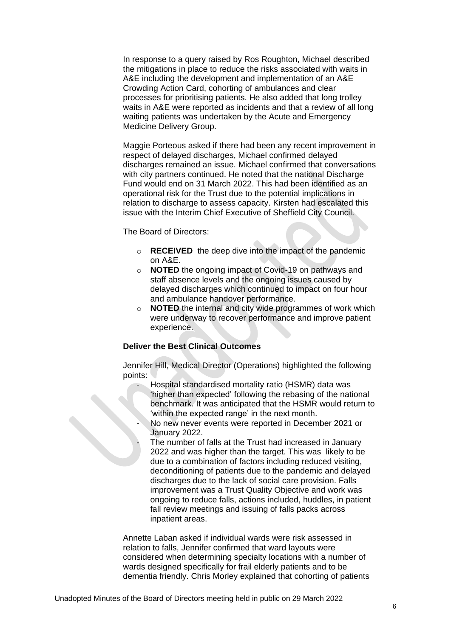In response to a query raised by Ros Roughton, Michael described the mitigations in place to reduce the risks associated with waits in A&E including the development and implementation of an A&E Crowding Action Card, cohorting of ambulances and clear processes for prioritising patients. He also added that long trolley waits in A&E were reported as incidents and that a review of all long waiting patients was undertaken by the Acute and Emergency Medicine Delivery Group.

Maggie Porteous asked if there had been any recent improvement in respect of delayed discharges, Michael confirmed delayed discharges remained an issue. Michael confirmed that conversations with city partners continued. He noted that the national Discharge Fund would end on 31 March 2022. This had been identified as an operational risk for the Trust due to the potential implications in relation to discharge to assess capacity. Kirsten had escalated this issue with the Interim Chief Executive of Sheffield City Council.

The Board of Directors:

- o **RECEIVED** the deep dive into the impact of the pandemic on A&E.
- o **NOTED** the ongoing impact of Covid-19 on pathways and staff absence levels and the ongoing issues caused by delayed discharges which continued to impact on four hour and ambulance handover performance.
- o **NOTED** the internal and city wide programmes of work which were underway to recover performance and improve patient experience.

### **Deliver the Best Clinical Outcomes**

Jennifer Hill, Medical Director (Operations) highlighted the following points:

- Hospital standardised mortality ratio (HSMR) data was 'higher than expected' following the rebasing of the national benchmark. It was anticipated that the HSMR would return to 'within the expected range' in the next month.
- No new never events were reported in December 2021 or January 2022.
- The number of falls at the Trust had increased in January 2022 and was higher than the target. This was likely to be due to a combination of factors including reduced visiting, deconditioning of patients due to the pandemic and delayed discharges due to the lack of social care provision. Falls improvement was a Trust Quality Objective and work was ongoing to reduce falls, actions included, huddles, in patient fall review meetings and issuing of falls packs across inpatient areas.

Annette Laban asked if individual wards were risk assessed in relation to falls, Jennifer confirmed that ward layouts were considered when determining specialty locations with a number of wards designed specifically for frail elderly patients and to be dementia friendly. Chris Morley explained that cohorting of patients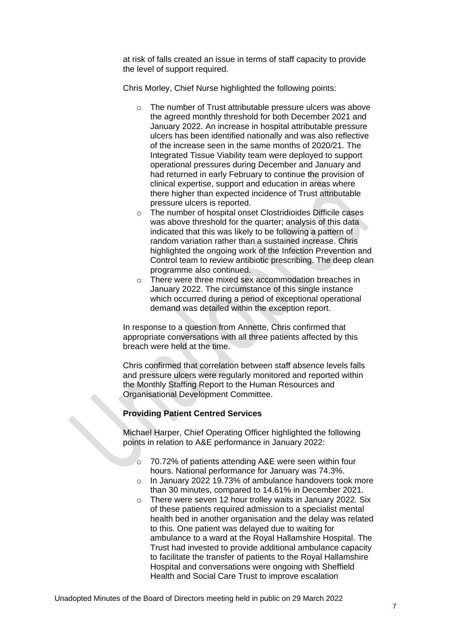at risk of falls created an issue in terms of staff capacity to provide the level of support required.

Chris Morley, Chief Nurse highlighted the following points:

- o The number of Trust attributable pressure ulcers was above the agreed monthly threshold for both December 2021 and January 2022. An increase in hospital attributable pressure ulcers has been identified nationally and was also reflective of the increase seen in the same months of 2020/21. The Integrated Tissue Viability team were deployed to support operational pressures during December and January and had returned in early February to continue the provision of clinical expertise, support and education in areas where there higher than expected incidence of Trust attributable pressure ulcers is reported.
- o The number of hospital onset Clostridioides Difficile cases was above threshold for the quarter; analysis of this data indicated that this was likely to be following a pattern of random variation rather than a sustained increase. Chris highlighted the ongoing work of the Infection Prevention and Control team to review antibiotic prescribing. The deep clean programme also continued.
- o There were three mixed sex accommodation breaches in January 2022. The circumstance of this single instance which occurred during a period of exceptional operational demand was detailed within the exception report.

In response to a question from Annette, Chris confirmed that appropriate conversations with all three patients affected by this breach were held at the time.

Chris confirmed that correlation between staff absence levels falls and pressure ulcers were regularly monitored and reported within the Monthly Staffing Report to the Human Resources and Organisational Development Committee.

# **Providing Patient Centred Services**

Michael Harper, Chief Operating Officer highlighted the following points in relation to A&E performance in January 2022:

- o 70.72% of patients attending A&E were seen within four hours. National performance for January was 74.3%.
- o In January 2022 19.73% of ambulance handovers took more than 30 minutes, compared to 14.61% in December 2021.
- o There were seven 12 hour trolley waits in January 2022. Six of these patients required admission to a specialist mental health bed in another organisation and the delay was related to this. One patient was delayed due to waiting for ambulance to a ward at the Royal Hallamshire Hospital. The Trust had invested to provide additional ambulance capacity to facilitate the transfer of patients to the Royal Hallamshire Hospital and conversations were ongoing with Sheffield Health and Social Care Trust to improve escalation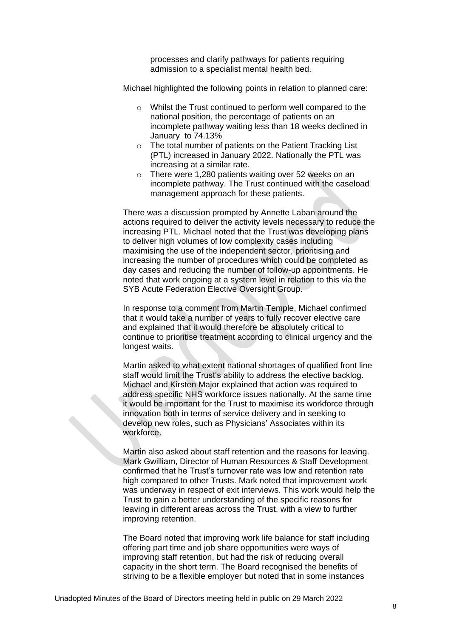processes and clarify pathways for patients requiring admission to a specialist mental health bed.

Michael highlighted the following points in relation to planned care:

- o Whilst the Trust continued to perform well compared to the national position, the percentage of patients on an incomplete pathway waiting less than 18 weeks declined in January to 74.13%
- o The total number of patients on the Patient Tracking List (PTL) increased in January 2022. Nationally the PTL was increasing at a similar rate.
- o There were 1,280 patients waiting over 52 weeks on an incomplete pathway. The Trust continued with the caseload management approach for these patients.

There was a discussion prompted by Annette Laban around the actions required to deliver the activity levels necessary to reduce the increasing PTL. Michael noted that the Trust was developing plans to deliver high volumes of low complexity cases including maximising the use of the independent sector, prioritising and increasing the number of procedures which could be completed as day cases and reducing the number of follow-up appointments. He noted that work ongoing at a system level in relation to this via the SYB Acute Federation Elective Oversight Group.

In response to a comment from Martin Temple, Michael confirmed that it would take a number of years to fully recover elective care and explained that it would therefore be absolutely critical to continue to prioritise treatment according to clinical urgency and the longest waits.

Martin asked to what extent national shortages of qualified front line staff would limit the Trust's ability to address the elective backlog. Michael and Kirsten Major explained that action was required to address specific NHS workforce issues nationally. At the same time it would be important for the Trust to maximise its workforce through innovation both in terms of service delivery and in seeking to develop new roles, such as Physicians' Associates within its workforce.

Martin also asked about staff retention and the reasons for leaving. Mark Gwilliam, Director of Human Resources & Staff Development confirmed that he Trust's turnover rate was low and retention rate high compared to other Trusts. Mark noted that improvement work was underway in respect of exit interviews. This work would help the Trust to gain a better understanding of the specific reasons for leaving in different areas across the Trust, with a view to further improving retention.

The Board noted that improving work life balance for staff including offering part time and job share opportunities were ways of improving staff retention, but had the risk of reducing overall capacity in the short term. The Board recognised the benefits of striving to be a flexible employer but noted that in some instances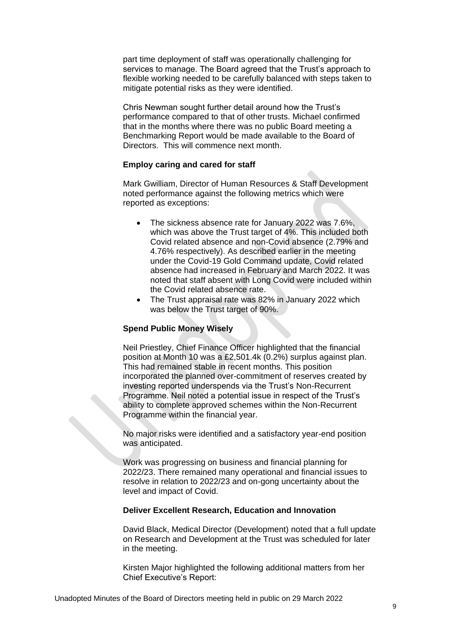part time deployment of staff was operationally challenging for services to manage. The Board agreed that the Trust's approach to flexible working needed to be carefully balanced with steps taken to mitigate potential risks as they were identified.

Chris Newman sought further detail around how the Trust's performance compared to that of other trusts. Michael confirmed that in the months where there was no public Board meeting a Benchmarking Report would be made available to the Board of Directors. This will commence next month.

#### **Employ caring and cared for staff**

Mark Gwilliam, Director of Human Resources & Staff Development noted performance against the following metrics which were reported as exceptions:

- The sickness absence rate for January 2022 was 7.6%, which was above the Trust target of 4%. This included both Covid related absence and non-Covid absence (2.79% and 4.76% respectively). As described earlier in the meeting under the Covid-19 Gold Command update, Covid related absence had increased in February and March 2022. It was noted that staff absent with Long Covid were included within the Covid related absence rate.
- The Trust appraisal rate was 82% in January 2022 which was below the Trust target of 90%.

## **Spend Public Money Wisely**

Neil Priestley, Chief Finance Officer highlighted that the financial position at Month 10 was a £2,501.4k (0.2%) surplus against plan. This had remained stable in recent months. This position incorporated the planned over-commitment of reserves created by investing reported underspends via the Trust's Non-Recurrent Programme. Neil noted a potential issue in respect of the Trust's ability to complete approved schemes within the Non-Recurrent Programme within the financial year.

No major risks were identified and a satisfactory year-end position was anticipated.

Work was progressing on business and financial planning for 2022/23. There remained many operational and financial issues to resolve in relation to 2022/23 and on-gong uncertainty about the level and impact of Covid.

#### **Deliver Excellent Research, Education and Innovation**

David Black, Medical Director (Development) noted that a full update on Research and Development at the Trust was scheduled for later in the meeting.

Kirsten Major highlighted the following additional matters from her Chief Executive's Report: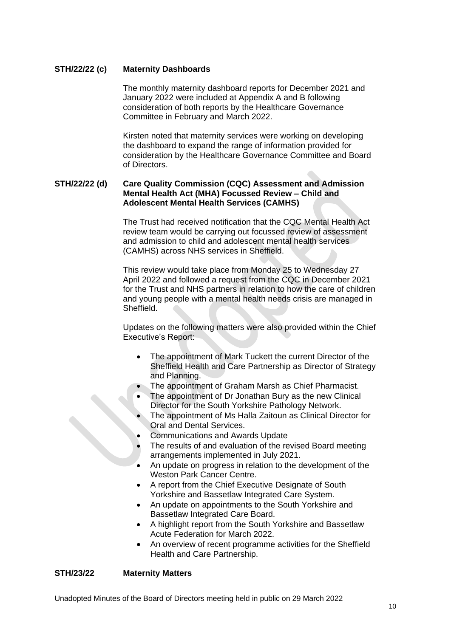# **STH/22/22 (c) Maternity Dashboards**

The monthly maternity dashboard reports for December 2021 and January 2022 were included at Appendix A and B following consideration of both reports by the Healthcare Governance Committee in February and March 2022.

Kirsten noted that maternity services were working on developing the dashboard to expand the range of information provided for consideration by the Healthcare Governance Committee and Board of Directors.

# **STH/22/22 (d) Care Quality Commission (CQC) Assessment and Admission Mental Health Act (MHA) Focussed Review – Child and Adolescent Mental Health Services (CAMHS)**

The Trust had received notification that the CQC Mental Health Act review team would be carrying out focussed review of assessment and admission to child and adolescent mental health services (CAMHS) across NHS services in Sheffield.

This review would take place from Monday 25 to Wednesday 27 April 2022 and followed a request from the CQC in December 2021 for the Trust and NHS partners in relation to how the care of children and young people with a mental health needs crisis are managed in Sheffield.

Updates on the following matters were also provided within the Chief Executive's Report:

- The appointment of Mark Tuckett the current Director of the Sheffield Health and Care Partnership as Director of Strategy and Planning.
- The appointment of Graham Marsh as Chief Pharmacist.
- The appointment of Dr Jonathan Bury as the new Clinical Director for the South Yorkshire Pathology Network.
- The appointment of Ms Halla Zaitoun as Clinical Director for Oral and Dental Services.
- Communications and Awards Update
- The results of and evaluation of the revised Board meeting arrangements implemented in July 2021.
- An update on progress in relation to the development of the Weston Park Cancer Centre.
- A report from the Chief Executive Designate of South Yorkshire and Bassetlaw Integrated Care System.
- An update on appointments to the South Yorkshire and Bassetlaw Integrated Care Board.
- A highlight report from the South Yorkshire and Bassetlaw Acute Federation for March 2022.
- An overview of recent programme activities for the Sheffield Health and Care Partnership.

# **STH/23/22 Maternity Matters**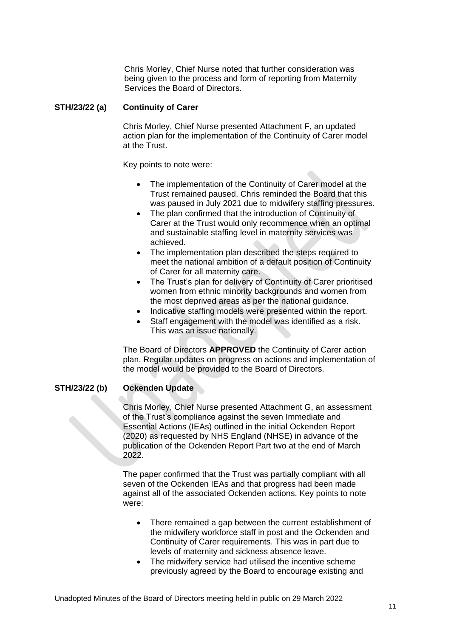Chris Morley, Chief Nurse noted that further consideration was being given to the process and form of reporting from Maternity Services the Board of Directors.

#### **STH/23/22 (a) Continuity of Carer**

Chris Morley, Chief Nurse presented Attachment F, an updated action plan for the implementation of the Continuity of Carer model at the Trust.

Key points to note were:

- The implementation of the Continuity of Carer model at the Trust remained paused. Chris reminded the Board that this was paused in July 2021 due to midwifery staffing pressures.
- The plan confirmed that the introduction of Continuity of Carer at the Trust would only recommence when an optimal and sustainable staffing level in maternity services was achieved.
- The implementation plan described the steps required to meet the national ambition of a default position of Continuity of Carer for all maternity care.
- The Trust's plan for delivery of Continuity of Carer prioritised women from ethnic minority backgrounds and women from the most deprived areas as per the national guidance.
- Indicative staffing models were presented within the report.
- Staff engagement with the model was identified as a risk. This was an issue nationally.

The Board of Directors **APPROVED** the Continuity of Carer action plan. Regular updates on progress on actions and implementation of the model would be provided to the Board of Directors.

#### **STH/23/22 (b) Ockenden Update**

Chris Morley, Chief Nurse presented Attachment G, an assessment of the Trust's compliance against the seven Immediate and Essential Actions (IEAs) outlined in the initial Ockenden Report (2020) as requested by NHS England (NHSE) in advance of the publication of the Ockenden Report Part two at the end of March 2022.

The paper confirmed that the Trust was partially compliant with all seven of the Ockenden IEAs and that progress had been made against all of the associated Ockenden actions. Key points to note were:

- There remained a gap between the current establishment of the midwifery workforce staff in post and the Ockenden and Continuity of Carer requirements. This was in part due to levels of maternity and sickness absence leave.
- The midwifery service had utilised the incentive scheme previously agreed by the Board to encourage existing and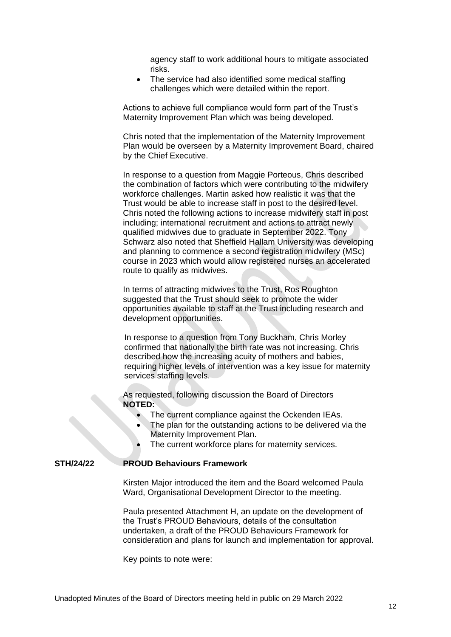agency staff to work additional hours to mitigate associated risks.

• The service had also identified some medical staffing challenges which were detailed within the report.

Actions to achieve full compliance would form part of the Trust's Maternity Improvement Plan which was being developed.

Chris noted that the implementation of the Maternity Improvement Plan would be overseen by a Maternity Improvement Board, chaired by the Chief Executive.

In response to a question from Maggie Porteous, Chris described the combination of factors which were contributing to the midwifery workforce challenges. Martin asked how realistic it was that the Trust would be able to increase staff in post to the desired level. Chris noted the following actions to increase midwifery staff in post including; international recruitment and actions to attract newly qualified midwives due to graduate in September 2022. Tony Schwarz also noted that Sheffield Hallam University was developing and planning to commence a second registration midwifery (MSc) course in 2023 which would allow registered nurses an accelerated route to qualify as midwives.

In terms of attracting midwives to the Trust, Ros Roughton suggested that the Trust should seek to promote the wider opportunities available to staff at the Trust including research and development opportunities.

In response to a question from Tony Buckham, Chris Morley confirmed that nationally the birth rate was not increasing. Chris described how the increasing acuity of mothers and babies, requiring higher levels of intervention was a key issue for maternity services staffing levels.

As requested, following discussion the Board of Directors **NOTED:**

- The current compliance against the Ockenden IEAs.
- The plan for the outstanding actions to be delivered via the Maternity Improvement Plan.
- The current workforce plans for maternity services.

#### **STH/24/22 PROUD Behaviours Framework**

Kirsten Major introduced the item and the Board welcomed Paula Ward, Organisational Development Director to the meeting.

Paula presented Attachment H, an update on the development of the Trust's PROUD Behaviours, details of the consultation undertaken, a draft of the PROUD Behaviours Framework for consideration and plans for launch and implementation for approval.

Key points to note were: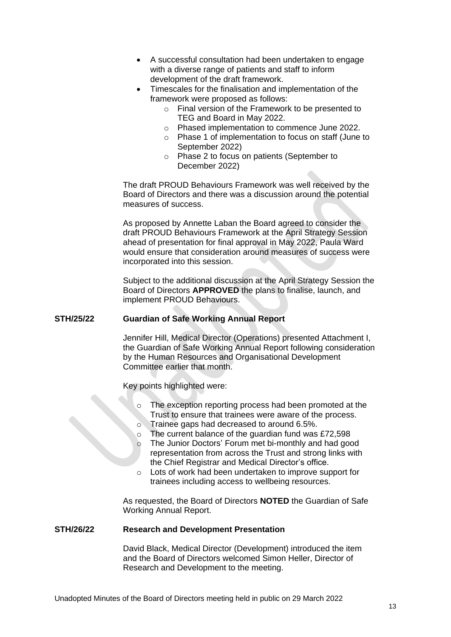- A successful consultation had been undertaken to engage with a diverse range of patients and staff to inform development of the draft framework.
- Timescales for the finalisation and implementation of the framework were proposed as follows:
	- o Final version of the Framework to be presented to TEG and Board in May 2022.
	- o Phased implementation to commence June 2022.
	- o Phase 1 of implementation to focus on staff (June to September 2022)
	- o Phase 2 to focus on patients (September to December 2022)

The draft PROUD Behaviours Framework was well received by the Board of Directors and there was a discussion around the potential measures of success.

As proposed by Annette Laban the Board agreed to consider the draft PROUD Behaviours Framework at the April Strategy Session ahead of presentation for final approval in May 2022, Paula Ward would ensure that consideration around measures of success were incorporated into this session.

Subject to the additional discussion at the April Strategy Session the Board of Directors **APPROVED** the plans to finalise, launch, and implement PROUD Behaviours.

# **STH/25/22 Guardian of Safe Working Annual Report**

Jennifer Hill, Medical Director (Operations) presented Attachment I, the Guardian of Safe Working Annual Report following consideration by the Human Resources and Organisational Development Committee earlier that month.

Key points highlighted were:

- The exception reporting process had been promoted at the Trust to ensure that trainees were aware of the process.
- o Trainee gaps had decreased to around 6.5%.
- o The current balance of the guardian fund was £72,598
- o The Junior Doctors' Forum met bi-monthly and had good representation from across the Trust and strong links with the Chief Registrar and Medical Director's office.
- o Lots of work had been undertaken to improve support for trainees including access to wellbeing resources.

As requested, the Board of Directors **NOTED** the Guardian of Safe Working Annual Report.

#### **STH/26/22 Research and Development Presentation**

David Black, Medical Director (Development) introduced the item and the Board of Directors welcomed Simon Heller, Director of Research and Development to the meeting.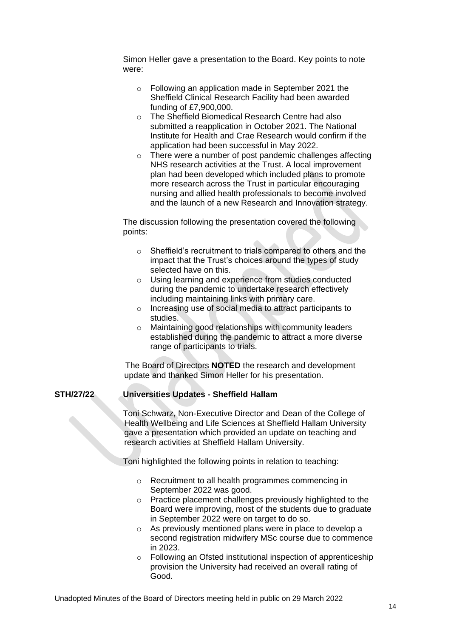Simon Heller gave a presentation to the Board. Key points to note were:

- o Following an application made in September 2021 the Sheffield Clinical Research Facility had been awarded funding of £7,900,000.
- o The Sheffield Biomedical Research Centre had also submitted a reapplication in October 2021. The National Institute for Health and Crae Research would confirm if the application had been successful in May 2022.
- o There were a number of post pandemic challenges affecting NHS research activities at the Trust. A local improvement plan had been developed which included plans to promote more research across the Trust in particular encouraging nursing and allied health professionals to become involved and the launch of a new Research and Innovation strategy.

The discussion following the presentation covered the following points:

- o Sheffield's recruitment to trials compared to others and the impact that the Trust's choices around the types of study selected have on this.
- o Using learning and experience from studies conducted during the pandemic to undertake research effectively including maintaining links with primary care.
- o Increasing use of social media to attract participants to studies.
- o Maintaining good relationships with community leaders established during the pandemic to attract a more diverse range of participants to trials.

The Board of Directors **NOTED** the research and development update and thanked Simon Heller for his presentation.

# **STH/27/22 Universities Updates - Sheffield Hallam**

Toni Schwarz, Non-Executive Director and Dean of the College of Health Wellbeing and Life Sciences at Sheffield Hallam University gave a presentation which provided an update on teaching and research activities at Sheffield Hallam University.

Toni highlighted the following points in relation to teaching:

- o Recruitment to all health programmes commencing in September 2022 was good.
- o Practice placement challenges previously highlighted to the Board were improving, most of the students due to graduate in September 2022 were on target to do so.
- o As previously mentioned plans were in place to develop a second registration midwifery MSc course due to commence in 2023.
- o Following an Ofsted institutional inspection of apprenticeship provision the University had received an overall rating of Good.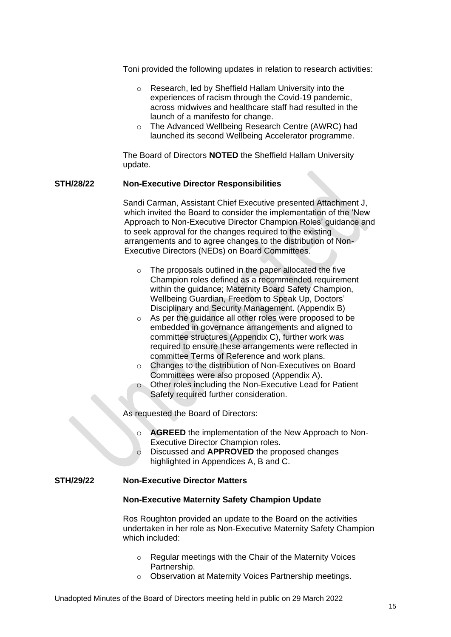Toni provided the following updates in relation to research activities:

- o Research, led by Sheffield Hallam University into the experiences of racism through the Covid-19 pandemic, across midwives and healthcare staff had resulted in the launch of a manifesto for change.
- o The Advanced Wellbeing Research Centre (AWRC) had launched its second Wellbeing Accelerator programme.

The Board of Directors **NOTED** the Sheffield Hallam University update.

#### **STH/28/22 Non-Executive Director Responsibilities**

Sandi Carman, Assistant Chief Executive presented Attachment J, which invited the Board to consider the implementation of the 'New Approach to Non-Executive Director Champion Roles' guidance and to seek approval for the changes required to the existing arrangements and to agree changes to the distribution of Non-Executive Directors (NEDs) on Board Committees.

- o The proposals outlined in the paper allocated the five Champion roles defined as a recommended requirement within the guidance; Maternity Board Safety Champion, Wellbeing Guardian, Freedom to Speak Up, Doctors' Disciplinary and Security Management. (Appendix B)
- o As per the guidance all other roles were proposed to be embedded in governance arrangements and aligned to committee structures (Appendix C), further work was required to ensure these arrangements were reflected in committee Terms of Reference and work plans.
- o Changes to the distribution of Non-Executives on Board Committees were also proposed (Appendix A).
- o Other roles including the Non-Executive Lead for Patient Safety required further consideration.

As requested the Board of Directors:

- o **AGREED** the implementation of the New Approach to Non-Executive Director Champion roles.
- Discussed and **APPROVED** the proposed changes highlighted in Appendices A, B and C.

#### **STH/29/22 Non-Executive Director Matters**

#### **Non-Executive Maternity Safety Champion Update**

Ros Roughton provided an update to the Board on the activities undertaken in her role as Non-Executive Maternity Safety Champion which included:

- o Regular meetings with the Chair of the Maternity Voices Partnership.
- o Observation at Maternity Voices Partnership meetings.

Unadopted Minutes of the Board of Directors meeting held in public on 29 March 2022